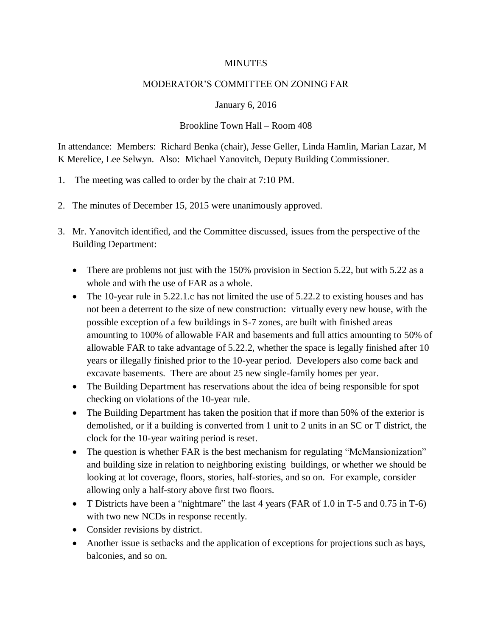## **MINUTES**

## MODERATOR'S COMMITTEE ON ZONING FAR

## January 6, 2016

## Brookline Town Hall – Room 408

In attendance: Members: Richard Benka (chair), Jesse Geller, Linda Hamlin, Marian Lazar, M K Merelice, Lee Selwyn. Also: Michael Yanovitch, Deputy Building Commissioner.

- 1. The meeting was called to order by the chair at 7:10 PM.
- 2. The minutes of December 15, 2015 were unanimously approved.
- 3. Mr. Yanovitch identified, and the Committee discussed, issues from the perspective of the Building Department:
	- There are problems not just with the 150% provision in Section 5.22, but with 5.22 as a whole and with the use of FAR as a whole.
	- The 10-year rule in 5.22.1.c has not limited the use of 5.22.2 to existing houses and has not been a deterrent to the size of new construction: virtually every new house, with the possible exception of a few buildings in S-7 zones, are built with finished areas amounting to 100% of allowable FAR and basements and full attics amounting to 50% of allowable FAR to take advantage of 5.22.2, whether the space is legally finished after 10 years or illegally finished prior to the 10-year period. Developers also come back and excavate basements. There are about 25 new single-family homes per year.
	- The Building Department has reservations about the idea of being responsible for spot checking on violations of the 10-year rule.
	- The Building Department has taken the position that if more than 50% of the exterior is demolished, or if a building is converted from 1 unit to 2 units in an SC or T district, the clock for the 10-year waiting period is reset.
	- The question is whether FAR is the best mechanism for regulating "McMansionization" and building size in relation to neighboring existing buildings, or whether we should be looking at lot coverage, floors, stories, half-stories, and so on. For example, consider allowing only a half-story above first two floors.
	- T Districts have been a "nightmare" the last 4 years (FAR of 1.0 in T-5 and 0.75 in T-6) with two new NCDs in response recently.
	- Consider revisions by district.
	- Another issue is setbacks and the application of exceptions for projections such as bays, balconies, and so on.